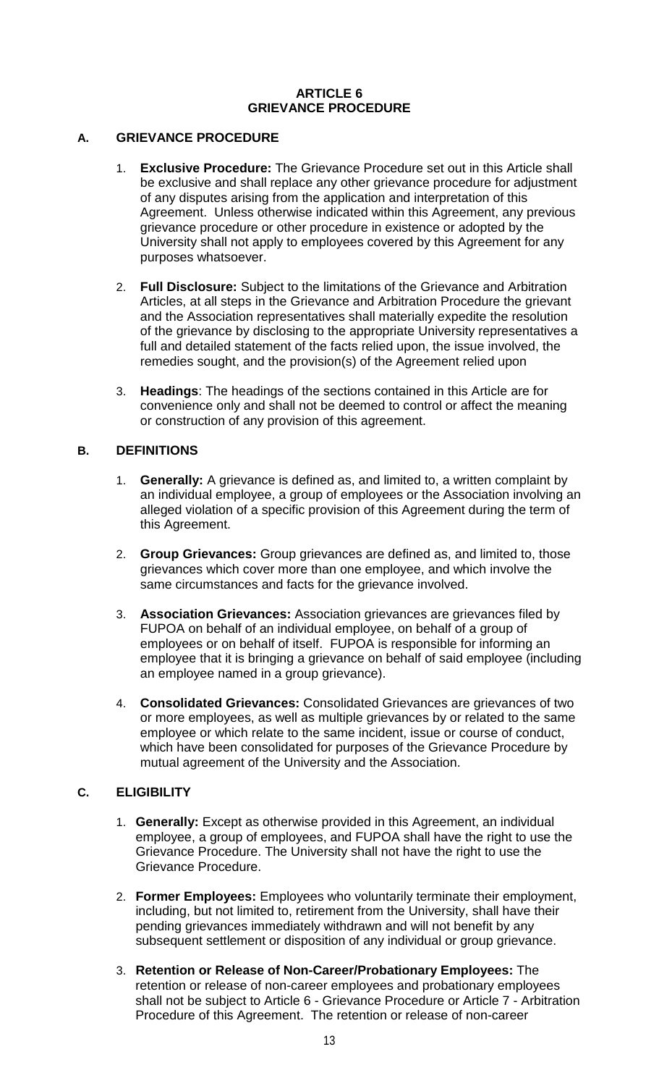### **ARTICLE 6 GRIEVANCE PROCEDURE**

### **A. GRIEVANCE PROCEDURE**

- 1. **Exclusive Procedure:** The Grievance Procedure set out in this Article shall be exclusive and shall replace any other grievance procedure for adjustment of any disputes arising from the application and interpretation of this Agreement. Unless otherwise indicated within this Agreement, any previous grievance procedure or other procedure in existence or adopted by the University shall not apply to employees covered by this Agreement for any purposes whatsoever.
- 2. **Full Disclosure:** Subject to the limitations of the Grievance and Arbitration Articles, at all steps in the Grievance and Arbitration Procedure the grievant and the Association representatives shall materially expedite the resolution of the grievance by disclosing to the appropriate University representatives a full and detailed statement of the facts relied upon, the issue involved, the remedies sought, and the provision(s) of the Agreement relied upon
- 3. **Headings**: The headings of the sections contained in this Article are for convenience only and shall not be deemed to control or affect the meaning or construction of any provision of this agreement.

## **B. DEFINITIONS**

- 1. **Generally:** A grievance is defined as, and limited to, a written complaint by an individual employee, a group of employees or the Association involving an alleged violation of a specific provision of this Agreement during the term of this Agreement.
- 2. **Group Grievances:** Group grievances are defined as, and limited to, those grievances which cover more than one employee, and which involve the same circumstances and facts for the grievance involved.
- 3. **Association Grievances:** Association grievances are grievances filed by FUPOA on behalf of an individual employee, on behalf of a group of employees or on behalf of itself. FUPOA is responsible for informing an employee that it is bringing a grievance on behalf of said employee (including an employee named in a group grievance).
- 4. **Consolidated Grievances:** Consolidated Grievances are grievances of two or more employees, as well as multiple grievances by or related to the same employee or which relate to the same incident, issue or course of conduct, which have been consolidated for purposes of the Grievance Procedure by mutual agreement of the University and the Association.

## **C. ELIGIBILITY**

- 1. **Generally:** Except as otherwise provided in this Agreement, an individual employee, a group of employees, and FUPOA shall have the right to use the Grievance Procedure. The University shall not have the right to use the Grievance Procedure.
- 2. **Former Employees:** Employees who voluntarily terminate their employment, including, but not limited to, retirement from the University, shall have their pending grievances immediately withdrawn and will not benefit by any subsequent settlement or disposition of any individual or group grievance.
- 3. **Retention or Release of Non-Career/Probationary Employees:** The retention or release of non-career employees and probationary employees shall not be subject to Article 6 - Grievance Procedure or Article 7 - Arbitration Procedure of this Agreement. The retention or release of non-career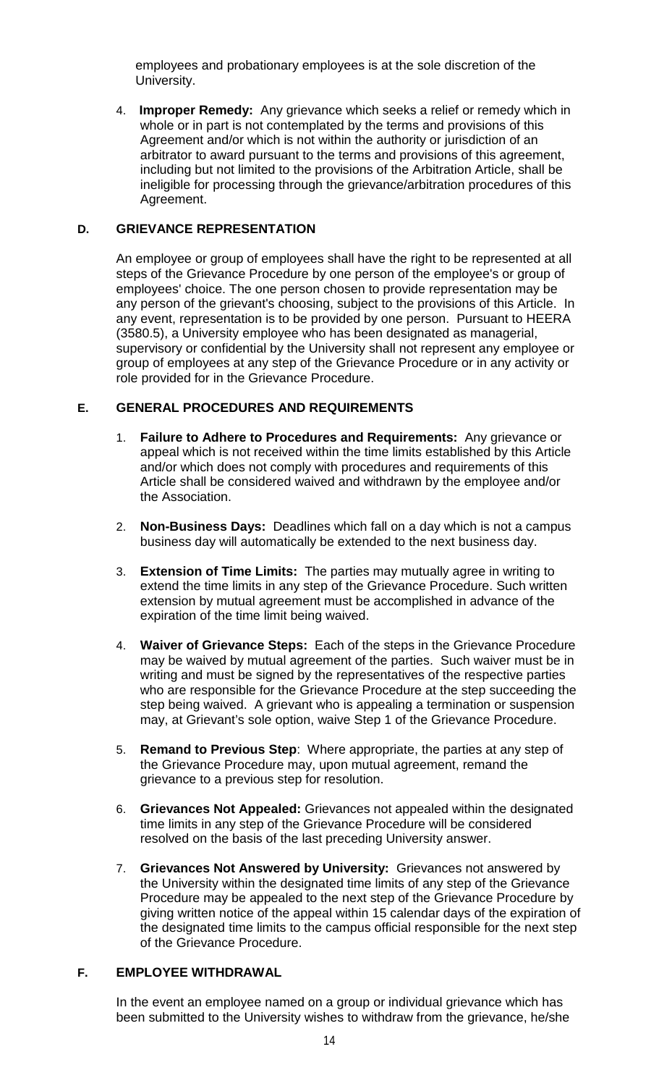employees and probationary employees is at the sole discretion of the University.

4. **Improper Remedy:** Any grievance which seeks a relief or remedy which in whole or in part is not contemplated by the terms and provisions of this Agreement and/or which is not within the authority or jurisdiction of an arbitrator to award pursuant to the terms and provisions of this agreement, including but not limited to the provisions of the Arbitration Article, shall be ineligible for processing through the grievance/arbitration procedures of this Agreement.

### **D. GRIEVANCE REPRESENTATION**

An employee or group of employees shall have the right to be represented at all steps of the Grievance Procedure by one person of the employee's or group of employees' choice. The one person chosen to provide representation may be any person of the grievant's choosing, subject to the provisions of this Article. In any event, representation is to be provided by one person. Pursuant to HEERA (3580.5), a University employee who has been designated as managerial, supervisory or confidential by the University shall not represent any employee or group of employees at any step of the Grievance Procedure or in any activity or role provided for in the Grievance Procedure.

### **E. GENERAL PROCEDURES AND REQUIREMENTS**

- 1. **Failure to Adhere to Procedures and Requirements:** Any grievance or appeal which is not received within the time limits established by this Article and/or which does not comply with procedures and requirements of this Article shall be considered waived and withdrawn by the employee and/or the Association.
- 2. **Non-Business Days:** Deadlines which fall on a day which is not a campus business day will automatically be extended to the next business day.
- 3. **Extension of Time Limits:** The parties may mutually agree in writing to extend the time limits in any step of the Grievance Procedure. Such written extension by mutual agreement must be accomplished in advance of the expiration of the time limit being waived.
- 4. **Waiver of Grievance Steps:** Each of the steps in the Grievance Procedure may be waived by mutual agreement of the parties. Such waiver must be in writing and must be signed by the representatives of the respective parties who are responsible for the Grievance Procedure at the step succeeding the step being waived.A grievant who is appealing a termination or suspension may, at Grievant's sole option, waive Step 1 of the Grievance Procedure.
- 5. **Remand to Previous Step**: Where appropriate, the parties at any step of the Grievance Procedure may, upon mutual agreement, remand the grievance to a previous step for resolution.
- 6. **Grievances Not Appealed:** Grievances not appealed within the designated time limits in any step of the Grievance Procedure will be considered resolved on the basis of the last preceding University answer.
- 7. **Grievances Not Answered by University:** Grievances not answered by the University within the designated time limits of any step of the Grievance Procedure may be appealed to the next step of the Grievance Procedure by giving written notice of the appeal within 15 calendar days of the expiration of the designated time limits to the campus official responsible for the next step of the Grievance Procedure.

### **F. EMPLOYEE WITHDRAWAL**

In the event an employee named on a group or individual grievance which has been submitted to the University wishes to withdraw from the grievance, he/she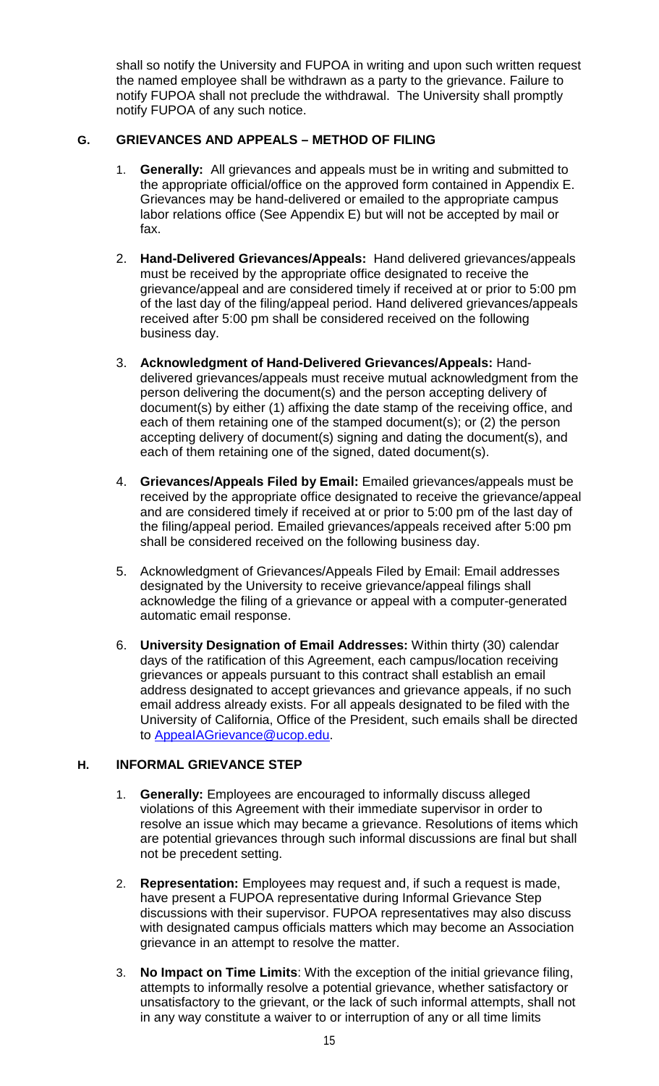shall so notify the University and FUPOA in writing and upon such written request the named employee shall be withdrawn as a party to the grievance. Failure to notify FUPOA shall not preclude the withdrawal. The University shall promptly notify FUPOA of any such notice.

## **G. GRIEVANCES AND APPEALS – METHOD OF FILING**

- **Generally:** All grievances and appeals must be in writing and submitted to the appropriate official/office on the approved form contained in Appendix E. Grievances may be hand-delivered or emailed to the appropriate campus labor relations office (See Appendix E) but will not be accepted by mail or fax.
- 2. **Hand-Delivered Grievances/Appeals:** Hand delivered grievances/appeals must be received by the appropriate office designated to receive the grievance/appeal and are considered timely if received at or prior to 5:00 pm of the last day of the filing/appeal period. Hand delivered grievances/appeals received after 5:00 pm shall be considered received on the following business day.
- 3. **Acknowledgment of Hand-Delivered Grievances/Appeals:** Handdelivered grievances/appeals must receive mutual acknowledgment from the person delivering the document(s) and the person accepting delivery of document(s) by either (1) affixing the date stamp of the receiving office, and each of them retaining one of the stamped document(s); or (2) the person accepting delivery of document(s) signing and dating the document(s), and each of them retaining one of the signed, dated document(s).
- 4. **Grievances/Appeals Filed by Email:** Emailed grievances/appeals must be received by the appropriate office designated to receive the grievance/appeal and are considered timely if received at or prior to 5:00 pm of the last day of the filing/appeal period. Emailed grievances/appeals received after 5:00 pm shall be considered received on the following business day.
- 5. Acknowledgment of Grievances/Appeals Filed by Email: Email addresses designated by the University to receive grievance/appeal filings shall acknowledge the filing of a grievance or appeal with a computer-generated automatic email response.
- 6. **University Designation of Email Addresses:** Within thirty (30) calendar days of the ratification of this Agreement, each campus/location receiving grievances or appeals pursuant to this contract shall establish an email address designated to accept grievances and grievance appeals, if no such email address already exists. For all appeals designated to be filed with the University of California, Office of the President, such emails shall be directed to [AppeaIAGrievance@ucop.edu.](mailto:AppeaIAGrievance@ucop.edu)

# **H. INFORMAL GRIEVANCE STEP**

- 1. **Generally:** Employees are encouraged to informally discuss alleged violations of this Agreement with their immediate supervisor in order to resolve an issue which may became a grievance. Resolutions of items which are potential grievances through such informal discussions are final but shall not be precedent setting.
- 2. **Representation:** Employees may request and, if such a request is made, have present a FUPOA representative during Informal Grievance Step discussions with their supervisor. FUPOA representatives may also discuss with designated campus officials matters which may become an Association grievance in an attempt to resolve the matter.
- 3. **No Impact on Time Limits**: With the exception of the initial grievance filing, attempts to informally resolve a potential grievance, whether satisfactory or unsatisfactory to the grievant, or the lack of such informal attempts, shall not in any way constitute a waiver to or interruption of any or all time limits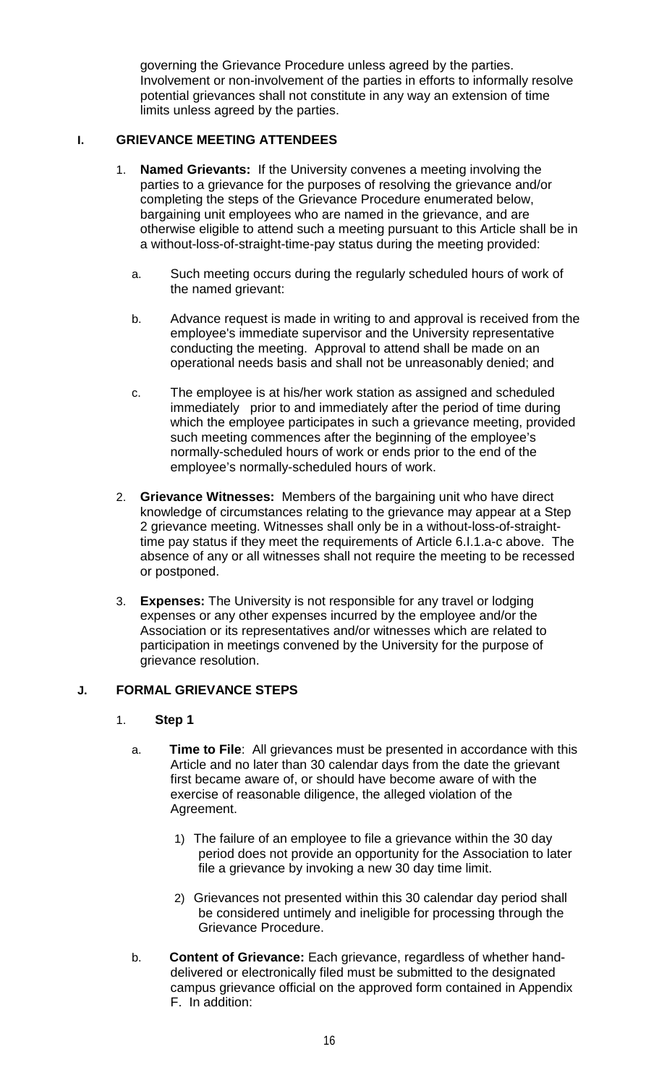governing the Grievance Procedure unless agreed by the parties. Involvement or non-involvement of the parties in efforts to informally resolve potential grievances shall not constitute in any way an extension of time limits unless agreed by the parties.

## **I. GRIEVANCE MEETING ATTENDEES**

- 1. **Named Grievants:** If the University convenes a meeting involving the parties to a grievance for the purposes of resolving the grievance and/or completing the steps of the Grievance Procedure enumerated below, bargaining unit employees who are named in the grievance, and are otherwise eligible to attend such a meeting pursuant to this Article shall be in a without-loss-of-straight-time-pay status during the meeting provided:
	- a. Such meeting occurs during the regularly scheduled hours of work of the named grievant:
	- b. Advance request is made in writing to and approval is received from the employee's immediate supervisor and the University representative conducting the meeting. Approval to attend shall be made on an operational needs basis and shall not be unreasonably denied; and
	- c. The employee is at his/her work station as assigned and scheduled immediately prior to and immediately after the period of time during which the employee participates in such a grievance meeting, provided such meeting commences after the beginning of the employee's normally-scheduled hours of work or ends prior to the end of the employee's normally-scheduled hours of work.
- 2. **Grievance Witnesses:** Members of the bargaining unit who have direct knowledge of circumstances relating to the grievance may appear at a Step 2 grievance meeting. Witnesses shall only be in a without-loss-of-straighttime pay status if they meet the requirements of Article 6.I.1.a-c above. The absence of any or all witnesses shall not require the meeting to be recessed or postponed.
- 3. **Expenses:** The University is not responsible for any travel or lodging expenses or any other expenses incurred by the employee and/or the Association or its representatives and/or witnesses which are related to participation in meetings convened by the University for the purpose of grievance resolution.

# **J. FORMAL GRIEVANCE STEPS**

#### 1. **Step 1**

- a. **Time to File**: All grievances must be presented in accordance with this Article and no later than 30 calendar days from the date the grievant first became aware of, or should have become aware of with the exercise of reasonable diligence, the alleged violation of the Agreement.
	- 1) The failure of an employee to file a grievance within the 30 day period does not provide an opportunity for the Association to later file a grievance by invoking a new 30 day time limit.
	- 2) Grievances not presented within this 30 calendar day period shall be considered untimely and ineligible for processing through the Grievance Procedure.
- b. **Content of Grievance:** Each grievance, regardless of whether handdelivered or electronically filed must be submitted to the designated campus grievance official on the approved form contained in Appendix F. In addition: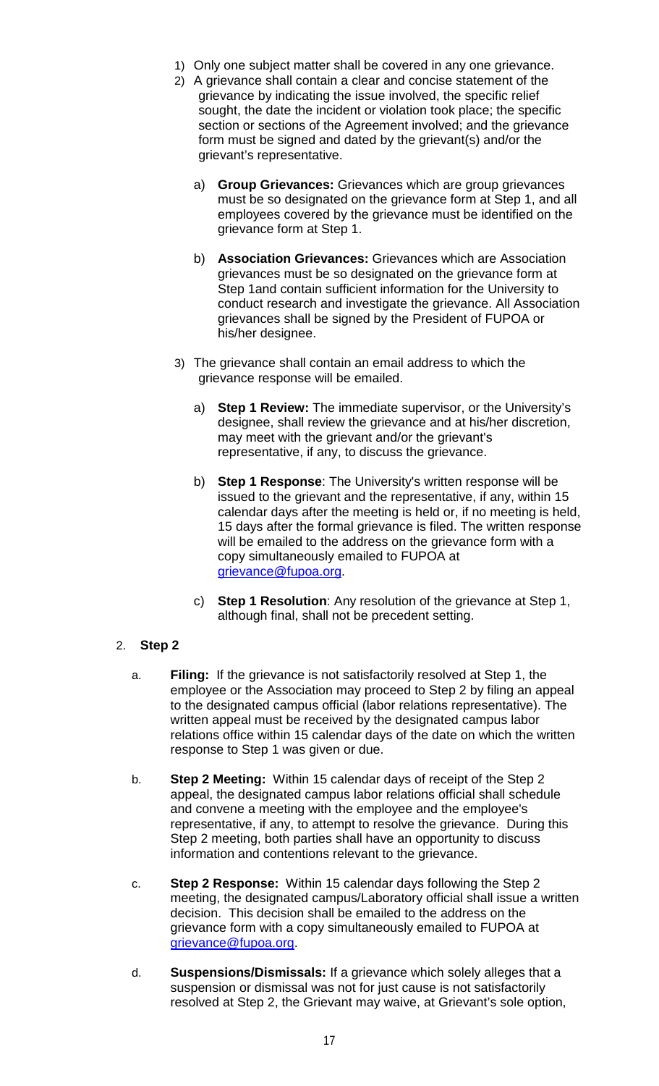- 1) Only one subject matter shall be covered in any one grievance.
- 2) A grievance shall contain a clear and concise statement of the grievance by indicating the issue involved, the specific relief sought, the date the incident or violation took place; the specific section or sections of the Agreement involved; and the grievance form must be signed and dated by the grievant(s) and/or the grievant's representative.
	- a) **Group Grievances:** Grievances which are group grievances must be so designated on the grievance form at Step 1, and all employees covered by the grievance must be identified on the grievance form at Step 1.
	- b) **Association Grievances:** Grievances which are Association grievances must be so designated on the grievance form at Step 1and contain sufficient information for the University to conduct research and investigate the grievance. All Association grievances shall be signed by the President of FUPOA or his/her designee.
- 3) The grievance shall contain an email address to which the grievance response will be emailed.
	- a) **Step 1 Review:** The immediate supervisor, or the University's designee, shall review the grievance and at his/her discretion, may meet with the grievant and/or the grievant's representative, if any, to discuss the grievance.
	- b) **Step 1 Response**: The University's written response will be issued to the grievant and the representative, if any, within 15 calendar days after the meeting is held or, if no meeting is held, 15 days after the formal grievance is filed. The written response will be emailed to the address on the grievance form with a copy simultaneously emailed to FUPOA at [grievance@fupoa.org.](mailto:grievance@fupoa.org)
	- c) **Step 1 Resolution**: Any resolution of the grievance at Step 1, although final, shall not be precedent setting.

## 2. **Step 2**

- a. **Filing:** If the grievance is not satisfactorily resolved at Step 1, the employee or the Association may proceed to Step 2 by filing an appeal to the designated campus official (labor relations representative). The written appeal must be received by the designated campus labor relations office within 15 calendar days of the date on which the written response to Step 1 was given or due.
- b. **Step 2 Meeting:** Within 15 calendar days of receipt of the Step 2 appeal, the designated campus labor relations official shall schedule and convene a meeting with the employee and the employee's representative, if any, to attempt to resolve the grievance. During this Step 2 meeting, both parties shall have an opportunity to discuss information and contentions relevant to the grievance.
- c. **Step 2 Response:** Within 15 calendar days following the Step 2 meeting, the designated campus/Laboratory official shall issue a written decision. This decision shall be emailed to the address on the grievance form with a copy simultaneously emailed to FUPOA at [grievance@fupoa.org.](mailto:grievance@fupoa.org)
- d. **Suspensions/Dismissals:** If a grievance which solely alleges that a suspension or dismissal was not for just cause is not satisfactorily resolved at Step 2, the Grievant may waive, at Grievant's sole option,